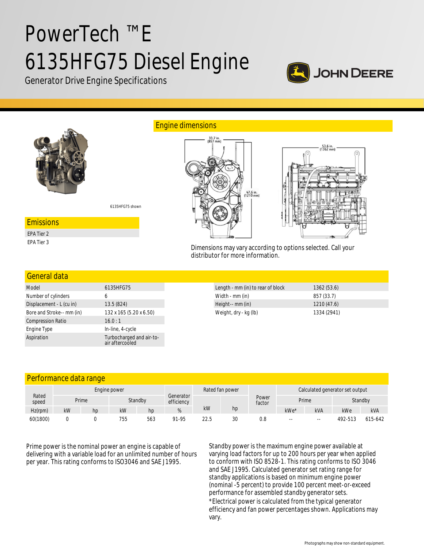# PowerTech ™ E 6135HFG75 Diesel Engine



Generator Drive Engine Specifications



| Model                     | 6135HFG75                                   |
|---------------------------|---------------------------------------------|
| Number of cylinders       | 6                                           |
| Displacement - L (cu in)  | 13.5 (824)                                  |
| Bore and Stroke-- mm (in) | 132 x 165 (5.20 x 6.50)                     |
| <b>Compression Ratio</b>  | 16.0:1                                      |
| Engine Type               | In-line, 4-cycle                            |
| Aspiration                | Turbocharged and air-to-<br>air aftercooled |

| Length - mm (in) to rear of block | 1362(53.6)  |  |
|-----------------------------------|-------------|--|
| Width - mm (in)                   | 857 (33.7)  |  |
| Height-- mm (in)                  | 1210 (47.6) |  |
| Weight, dry - kg (lb)             | 1334 (2941) |  |

| Performance data range |  |  |
|------------------------|--|--|
|                        |  |  |

|                | Engine power |       |     |         |                         | Rated fan power |    |                 | Calculated generator set output |            |         |            |
|----------------|--------------|-------|-----|---------|-------------------------|-----------------|----|-----------------|---------------------------------|------------|---------|------------|
| Rated<br>speed |              | Prime |     | Standby | Generator<br>efficiency |                 |    | Power<br>factor | Prime                           |            | Standby |            |
| $Hz$ (rpm)     | kW           | hp    | kW  | hp      |                         | kW              | hp |                 | kWe*                            | <b>kVA</b> | kWe     | <b>kVA</b> |
| 60(1800)       |              |       | 755 | 563     | 91-95                   | 22.5            | 30 | 0.8             | $- -$                           | $- -$      | 492-513 | 615-642    |

Prime power is the nominal power an engine is capable of delivering with a variable load for an unlimited number of hours per year. This rating conforms to ISO3046 and SAE J1995.

Standby power is the maximum engine power available at varying load factors for up to 200 hours per year when applied to conform with ISO 8528-1. This rating conforms to ISO 3046 and SAE J1995. Calculated generator set rating range for standby applications is based on minimum engine power (nominal -5 percent) to provide 100 percent meet-or-exceed performance for assembled standby generator sets. \*Electrical power is calculated from the typical generator efficiency and fan power percentages shown. Applications may vary.